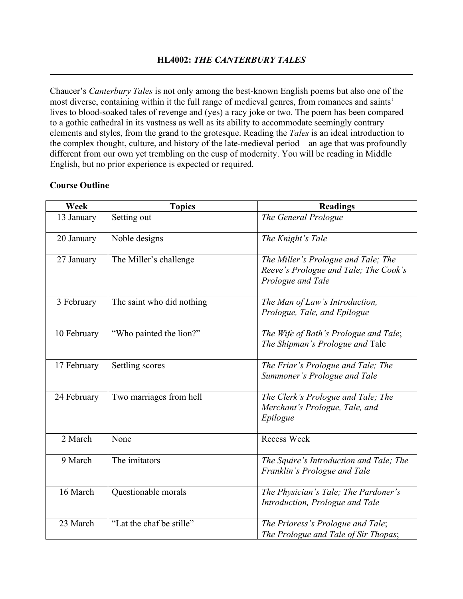## **HL4002:** *THE CANTERBURY TALES* **\_\_\_\_\_\_\_\_\_\_\_\_\_\_\_\_\_\_\_\_\_\_\_\_\_\_\_\_\_\_\_\_\_\_\_\_\_\_\_\_\_\_\_\_\_\_\_\_\_\_\_\_\_\_\_\_\_\_\_\_\_\_\_\_\_\_\_\_\_\_\_\_\_\_\_\_\_\_\_\_**

Chaucer's *Canterbury Tales* is not only among the best-known English poems but also one of the most diverse, containing within it the full range of medieval genres, from romances and saints' lives to blood-soaked tales of revenge and (yes) a racy joke or two. The poem has been compared to a gothic cathedral in its vastness as well as its ability to accommodate seemingly contrary elements and styles, from the grand to the grotesque. Reading the *Tales* is an ideal introduction to the complex thought, culture, and history of the late-medieval period—an age that was profoundly different from our own yet trembling on the cusp of modernity. You will be reading in Middle English, but no prior experience is expected or required.

| Week        | <b>Topics</b>             | <b>Readings</b>                                                                                   |
|-------------|---------------------------|---------------------------------------------------------------------------------------------------|
| 13 January  | Setting out               | The General Prologue                                                                              |
| 20 January  | Noble designs             | The Knight's Tale                                                                                 |
| 27 January  | The Miller's challenge    | The Miller's Prologue and Tale; The<br>Reeve's Prologue and Tale; The Cook's<br>Prologue and Tale |
| 3 February  | The saint who did nothing | The Man of Law's Introduction,<br>Prologue, Tale, and Epilogue                                    |
| 10 February | "Who painted the lion?"   | The Wife of Bath's Prologue and Tale;<br>The Shipman's Prologue and Tale                          |
| 17 February | Settling scores           | The Friar's Prologue and Tale; The<br>Summoner's Prologue and Tale                                |
| 24 February | Two marriages from hell   | The Clerk's Prologue and Tale; The<br>Merchant's Prologue, Tale, and<br>Epilogue                  |
| 2 March     | None                      | <b>Recess Week</b>                                                                                |
| 9 March     | The imitators             | The Squire's Introduction and Tale; The<br>Franklin's Prologue and Tale                           |
| 16 March    | Questionable morals       | The Physician's Tale; The Pardoner's<br>Introduction, Prologue and Tale                           |
| 23 March    | "Lat the chaf be stille"  | The Prioress's Prologue and Tale;<br>The Prologue and Tale of Sir Thopas;                         |

## **Course Outline**